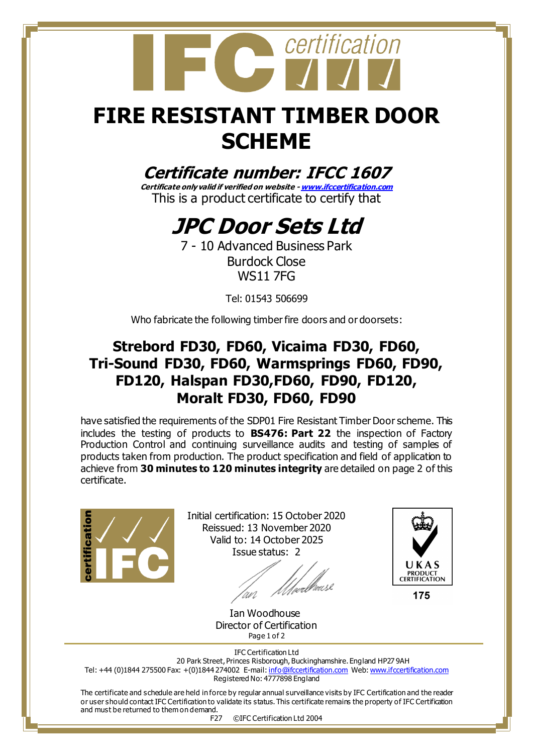

## **FIRE RESISTANT TIMBER DOOR SCHEME**

#### **Certificate number: IFCC 1607**

**Certificate only valid if verified on website - [www.ifccertification.com](http://www.ifccertification.com/)** This is a product certificate to certify that

### **JPC Door Sets Ltd**

7 - 10 Advanced Business Park Burdock Close WS11 7FG

Tel: 01543 506699

Who fabricate the following timber fire doors and or doorsets:

#### **Strebord FD30, FD60, Vicaima FD30, FD60, Tri-Sound FD30, FD60, Warmsprings FD60, FD90, FD120, Halspan FD30,FD60, FD90, FD120, Moralt FD30, FD60, FD90**

have satisfied the requirements of the SDP01 Fire Resistant Timber Door scheme. This includes the testing of products to **BS476: Part 22** the inspection of Factory Production Control and continuing surveillance audits and testing of samples of products taken from production. The product specification and field of application to achieve from **30 minutes to 120 minutes integrity** are detailed on page 2 of this certificate.



Initial certification: 15 October 2020 Reissued: 13 November 2020 Valid to: 14 October 2025 Issue status: 2

//*//webhouse* 



175

 Ian Woodhouse Director of Certification Page 1 of 2

IFC Certification Ltd 20 Park Street, Princes Risborough, Buckinghamshire. England HP27 9AH Tel: +44 (0)1844 275500 Fax: +(0)1844 274002 E-mail[: info@ifccertification.com](mailto:info@ifccertification.com) Web[: www.ifccertification.com](http://www.ifccertification.com/) Registered No: 4777898 England

The certificate and schedule are held in force by regular annual surveillance visits by IFC Certification and the reader or user should contact IFC Certification to validate its status. This certificate remains the property of IFC Certification and must be returned to them on demand.

F27 ©IFC Certification Ltd 2004